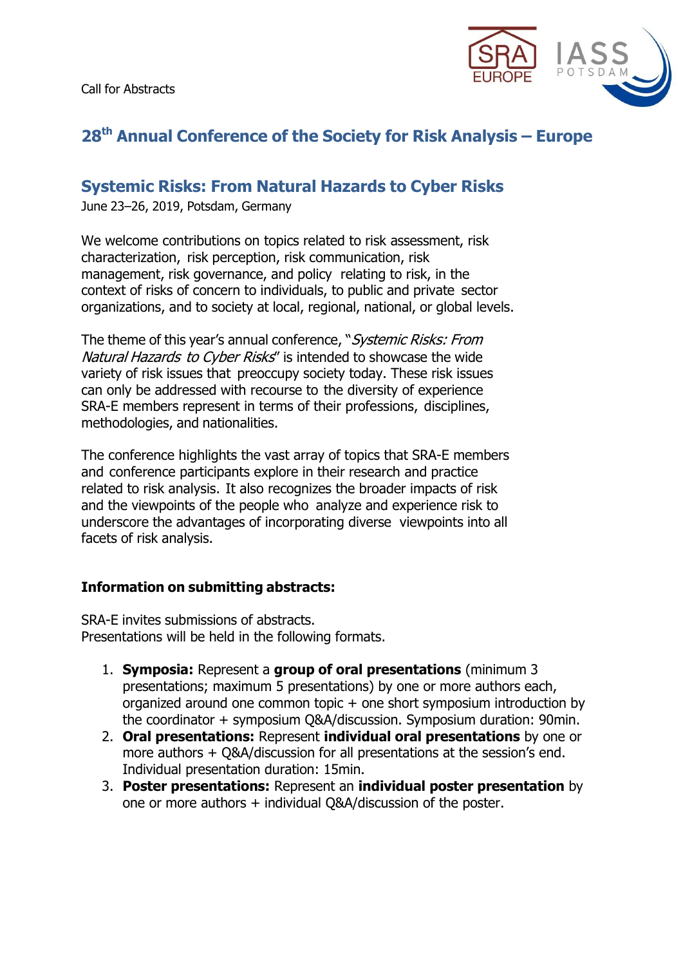

# **28th Annual Conference of the Society for Risk Analysis – Europe**

## **Systemic Risks: From Natural Hazards to Cyber Risks**

June 23–26, 2019, Potsdam, Germany

We welcome contributions on topics related to risk assessment, risk characterization, risk perception, risk communication, risk management, risk governance, and policy relating to risk, in the context of risks of concern to individuals, to public and private sector organizations, and to society at local, regional, national, or global levels.

The theme of this year's annual conference, "Systemic Risks: From Natural Hazards to Cyber Risks" is intended to showcase the wide variety of risk issues that preoccupy society today. These risk issues can only be addressed with recourse to the diversity of experience SRA-E members represent in terms of their professions, disciplines, methodologies, and nationalities.

The conference highlights the vast array of topics that SRA-E members and conference participants explore in their research and practice related to risk analysis. It also recognizes the broader impacts of risk and the viewpoints of the people who analyze and experience risk to underscore the advantages of incorporating diverse viewpoints into all facets of risk analysis.

#### **Information on submitting abstracts:**

SRA-E invites submissions of abstracts. Presentations will be held in the following formats.

- 1. **Symposia:** Represent a **group of oral presentations** (minimum 3 presentations; maximum 5 presentations) by one or more authors each, organized around one common topic + one short symposium introduction by the coordinator + symposium Q&A/discussion. Symposium duration: 90min.
- 2. **Oral presentations:** Represent **individual oral presentations** by one or more authors + Q&A/discussion for all presentations at the session's end. Individual presentation duration: 15min.
- 3. **Poster presentations:** Represent an **individual poster presentation** by one or more authors + individual Q&A/discussion of the poster.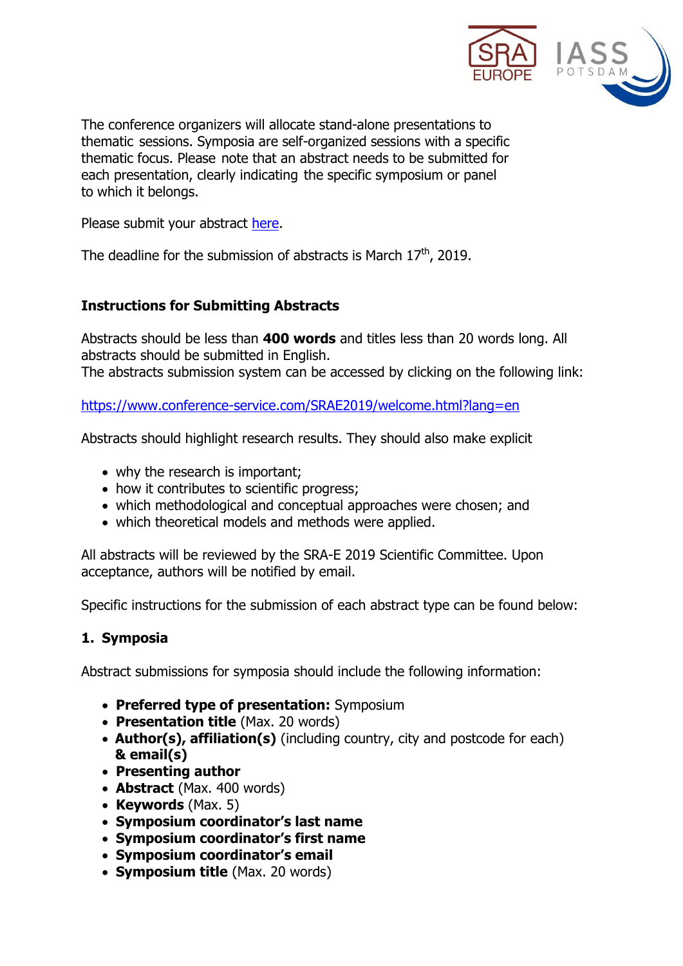

The conference organizers will allocate stand-alone presentations to thematic sessions. Symposia are self-organized sessions with a specific thematic focus. Please note that an abstract needs to be submitted for each presentation, clearly indicating the specific symposium or panel to which it belongs.

Please submit your abstract [here.](https://www.conference-service.com/SRAE2019/welcome.html?lang=en)

The deadline for the submission of abstracts is March  $17^{\text{th}}$ , 2019.

### **Instructions for Submitting Abstracts**

Abstracts should be less than **400 words** and titles less than 20 words long. All abstracts should be submitted in English. The abstracts submission system can be accessed by clicking on the following link:

<https://www.conference-service.com/SRAE2019/welcome.html?lang=en>

Abstracts should highlight research results. They should also make explicit

- why the research is important;
- how it contributes to scientific progress;
- which methodological and conceptual approaches were chosen; and
- which theoretical models and methods were applied.

All abstracts will be reviewed by the SRA-E 2019 Scientific Committee. Upon acceptance, authors will be notified by email.

Specific instructions for the submission of each abstract type can be found below:

## **1. Symposia**

Abstract submissions for symposia should include the following information:

- **Preferred type of presentation:** Symposium
- **Presentation title** (Max. 20 words)
- **Author(s), affiliation(s)** (including country, city and postcode for each) **& email(s)**
- **Presenting author**
- **Abstract** (Max. 400 words)
- **Keywords** (Max. 5)
- **Symposium coordinator's last name**
- **Symposium coordinator's first name**
- **Symposium coordinator's email**
- **Symposium title** (Max. 20 words)